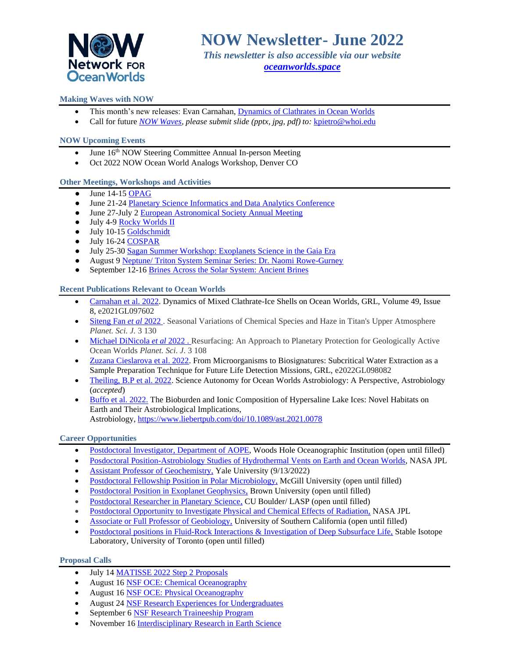

*This newsletter is also accessible via our website <oceanworlds.space>*

# **Making Waves with NOW**

- This month's new releases: Evan Carnahan, [Dynamics of Clathrates in Ocean Worlds](https://oceanworlds.space/wp-content/uploads/sites/22/2022/06/CarnahanNuggetJune2022.jpg)
- Call for future *[NOW Waves,](https://oceanworlds.space/makingwaves/) please submit slide (pptx, jpg, pdf) to:* [kpietro@whoi.edu](mailto:kpietro@whoi.edu)

## **NOW Upcoming Events**

- June 16<sup>th</sup> NOW Steering Committee Annual In-person Meeting
- Oct 2022 NOW Ocean World Analogs Workshop, Denver CO

## **Other Meetings, Workshops and Activities**

- $\bullet$  June 14-1[5 OPAG](https://www.lpi.usra.edu/opag/meetings/upcoming/)
- June 21-2[4 Planetary Science Informatics and Data Analytics Conference](https://www.cosmos.esa.int/web/psida-2022/home)
- June 27-July 2 [European Astronomical Society Annual Meeting](https://eas.unige.ch/EAS2022/index.jsp)
- July 4-9 [Rocky Worlds II](https://www.rockyworlds.org/scope)
- July 10-15 [Goldschmidt](https://2022.goldschmidt.info/goldschmidt/2022/meetingapp.cgi)
- July 16-24 [COSPAR](https://www.cosparathens2022.org/)
- July 25-30 [Sagan Summer Workshop: Exoplanets Science in the Gaia Era](https://nexsci.caltech.edu/conferences/#workshop)
- August 9 [Neptune/ Triton System Seminar Series: Dr. Naomi Rowe-Gurney](https://neptuneodyssey.jhuapl.edu/Events/)
- September 12-16 [Brines Across the Solar System: Ancient Brines](https://www.lpi.usra.edu/science/initiatives/brines/)

## **Recent Publications Relevant to Ocean Worlds**

- [Carnahan et al. 2022.](https://agupubs.onlinelibrary.wiley.com/doi/10.1029/2021GL097602) Dynamics of Mixed Clathrate-Ice Shells on Ocean Worlds, GRL, Volume 49, Issue 8, e2021GL097602
- [Siteng Fan](https://iopscience.iop.org/article/10.3847/PSJ/ac6953) *et al* 2022 . Seasonal Variations of Chemical Species and Haze in Titan's Upper Atmosphere *Planet. Sci. J.* 3 130
- [Michael DiNicola](https://iopscience.iop.org/article/10.3847/PSJ/ac642d) *et al* 2022 . Resurfacing: An Approach to Planetary Protection for Geologically Active Ocean Worlds *Planet. Sci. J.* 3 108
- [Zuzana Cieslarova et al. 2022.](https://agupubs.onlinelibrary.wiley.com/doi/10.1029/2022GL098082) From Microorganisms to Biosignatures: Subcritical Water Extraction as a Sample Preparation Technique for Future Life Detection Missions, GRL, e2022GL098082
- [Theiling, B.P et al. 2022.](https://www.liebertpub.com/doi/10.1089/ast.2021.0062) Science Autonomy for Ocean Worlds Astrobiology: A Perspective, Astrobiology (*accepted*)
- [Buffo et al. 2022.](https://www.liebertpub.com/doi/10.1089/ast.2021.0078) The Bioburden and Ionic Composition of Hypersaline Lake Ices: Novel Habitats on Earth and Their Astrobiological Implications, Astrobiology, [https://www.liebertpub.com/doi/10.1089/ast.2021.0078](https://nam02.safelinks.protection.outlook.com/?url=https%3A%2F%2Fwww.liebertpub.com%2Fdoi%2F10.1089%2Fast.2021.0078&data=05%7C01%7Ckpietro%40whoi.edu%7C263d9ce71dda4c1b90ec08da4b0061c5%7Cd44c5cc6d18c46cc8abd4fdf5b6e5944%7C0%7C0%7C637904762471735429%7CUnknown%7CTWFpbGZsb3d8eyJWIjoiMC4wLjAwMDAiLCJQIjoiV2luMzIiLCJBTiI6Ik1haWwiLCJXVCI6Mn0%3D%7C3000%7C%7C%7C&sdata=kwP07%2FIIxfes%2B7ROvdt7yn%2BEWYGzWT0tfKJUlc8DgXc%3D&reserved=0)

## **Career Opportunities**

- [Postdoctoral Investigator, Department of AOPE,](https://careers-whoi.icims.com/jobs/1761/postdoctoral-investigator---aop%26e/job?mobile=false&width=1020&height=500&bga=true&needsRedirect=false&jan1offset=-300&jun1offset=-240) Woods Hole Oceanographic Institution (open until filled)
- [Posdoctoral Position-Astrobiology Studies of Hydrothermal Vents on Earth and Ocean Worlds,](https://www.jpl.jobs/job/R2335/Postdoctoral-Position-Astrobiology-Studies-of-Hydrothermal-Vents-on-Earth-and-Ocean-Worlds) NASA JPL
- [Assistant Professor of Geochemistry,](https://apply.interfolio.com/94167) Yale University (9/13/2022)
- [Postdoctoral Fellowship Position in Polar Microbiology,](https://oceanworlds.space/jobs/) McGill University (open until filled)
- [Postdoctoral Position in Exoplanet Geophysics,](http://ghosst.alexjevans.com/) Brown University (open until filled)
- [Postdoctoral Researcher in Planetary Science,](https://jobs.colorado.edu/jobs/JobDetail/?jobId=35763) CU Boulder/ LASP (open until filled)
- [Postdoctoral Opportunity to Investigate Physical and Chemical Effects of Radiation,](https://citjpl.wd5.myworkdayjobs.com/Jobs/job/JPL-Campus/Postdoc-Opportunity---Investigate-Physical-and-Chemical-Effects-of-Radiation--Group-3227_R1575) NASA JPL
- [Associate or Full Professor of Geobiology,](https://usccareers.usc.edu/job/los-angeles/associate-or-full-professor-of-geobiology/1209/14872585040) University of Southern California (open until filled)
- [Postdoctoral positions in Fluid-Rock Interactions & Investigation of Deep Subsurface Life,](https://bsherwoodlollar.weebly.com/research-opportunities.html) Stable Isotope Laboratory, University of Toronto (open until filled)

## **Proposal Calls**

- July 1[4 MATISSE 2022 Step 2 Proposals](https://nspires.nasaprs.com/external/solicitations/summary!init.do?solId=%7bE241ECD4-E5F4-CE18-22C2-303C02B5EA73%7d&path=open)
- August 16 [NSF OCE: Chemical Oceanography](https://beta.nsf.gov/funding/opportunities/chemical-oceanography)
- August 16 [NSF OCE: Physical Oceanography](https://beta.nsf.gov/funding/opportunities/physical-oceanography)
- August 24 [NSF Research Experiences for Undergraduates](https://beta.nsf.gov/funding/opportunities/research-experiences-undergraduates-reu)
- September 6 [NSF Research Traineeship Program](https://beta.nsf.gov/funding/opportunities/national-science-foundation-research-traineeship-program)
- November 16 [Interdisciplinary Research in Earth Science](https://nspires.nasaprs.com/external/solicitations/summary.do?solId=%7BC3B93980-6A81-76FC-04FD-BD29E6D33F40%7D&path=&method=init)